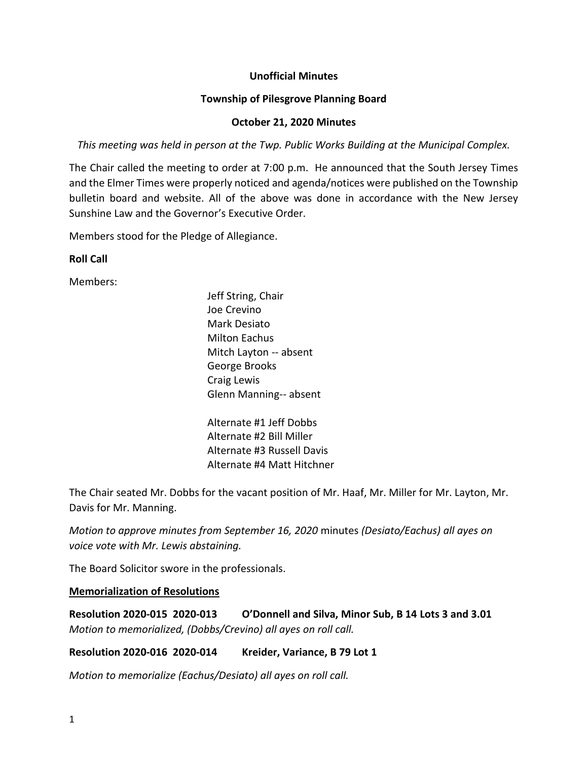## **Unofficial Minutes**

## **Township of Pilesgrove Planning Board**

## **October 21, 2020 Minutes**

*This meeting was held in person at the Twp. Public Works Building at the Municipal Complex.*

The Chair called the meeting to order at 7:00 p.m. He announced that the South Jersey Times and the Elmer Times were properly noticed and agenda/notices were published on the Township bulletin board and website. All of the above was done in accordance with the New Jersey Sunshine Law and the Governor's Executive Order.

Members stood for the Pledge of Allegiance.

# **Roll Call**

Members:

Jeff String, Chair Joe Crevino Mark Desiato Milton Eachus Mitch Layton -- absent George Brooks Craig Lewis Glenn Manning-- absent

Alternate #1 Jeff Dobbs Alternate #2 Bill Miller Alternate #3 Russell Davis Alternate #4 Matt Hitchner

The Chair seated Mr. Dobbs for the vacant position of Mr. Haaf, Mr. Miller for Mr. Layton, Mr. Davis for Mr. Manning.

*Motion to approve minutes from September 16, 2020* minutes *(Desiato/Eachus) all ayes on voice vote with Mr. Lewis abstaining.*

The Board Solicitor swore in the professionals.

## **Memorialization of Resolutions**

**Resolution 2020-015 2020-013 O'Donnell and Silva, Minor Sub, B 14 Lots 3 and 3.01** *Motion to memorialized, (Dobbs/Crevino) all ayes on roll call.*

**Resolution 2020-016 2020-014 Kreider, Variance, B 79 Lot 1**

*Motion to memorialize (Eachus/Desiato) all ayes on roll call.*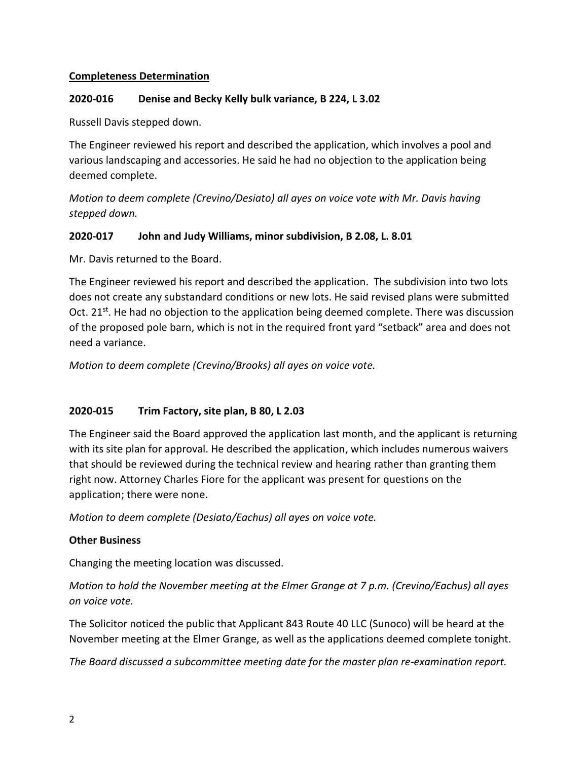# **Completeness Determination**

## **2020-016 Denise and Becky Kelly bulk variance, B 224, L 3.02**

Russell Davis stepped down.

The Engineer reviewed his report and described the application, which involves a pool and various landscaping and accessories. He said he had no objection to the application being deemed complete.

*Motion to deem complete (Crevino/Desiato) all ayes on voice vote with Mr. Davis having stepped down.*

# **2020-017 John and Judy Williams, minor subdivision, B 2.08, L. 8.01**

Mr. Davis returned to the Board.

The Engineer reviewed his report and described the application. The subdivision into two lots does not create any substandard conditions or new lots. He said revised plans were submitted Oct. 21<sup>st</sup>. He had no objection to the application being deemed complete. There was discussion of the proposed pole barn, which is not in the required front yard "setback" area and does not need a variance.

*Motion to deem complete (Crevino/Brooks) all ayes on voice vote.* 

# **2020-015 Trim Factory, site plan, B 80, L 2.03**

The Engineer said the Board approved the application last month, and the applicant is returning with its site plan for approval. He described the application, which includes numerous waivers that should be reviewed during the technical review and hearing rather than granting them right now. Attorney Charles Fiore for the applicant was present for questions on the application; there were none.

*Motion to deem complete (Desiato/Eachus) all ayes on voice vote.*

## **Other Business**

Changing the meeting location was discussed.

*Motion to hold the November meeting at the Elmer Grange at 7 p.m. (Crevino/Eachus) all ayes on voice vote.*

The Solicitor noticed the public that Applicant 843 Route 40 LLC (Sunoco) will be heard at the November meeting at the Elmer Grange, as well as the applications deemed complete tonight.

*The Board discussed a subcommittee meeting date for the master plan re-examination report.*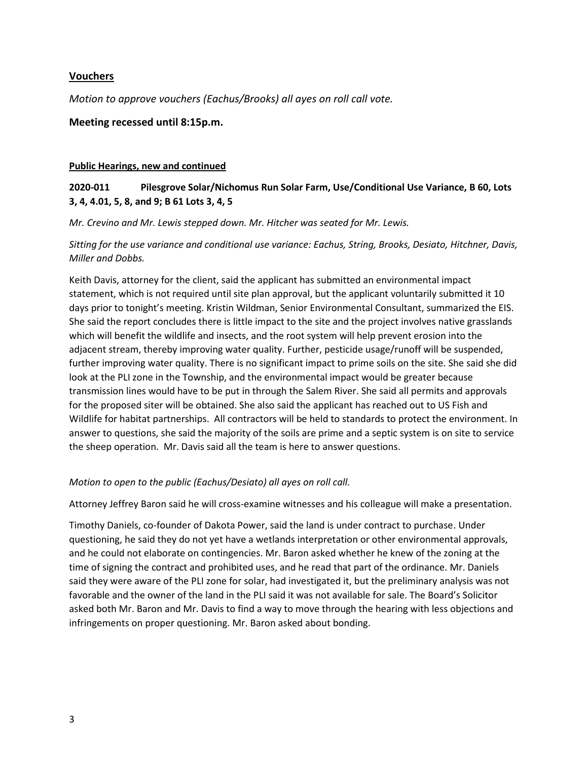## **Vouchers**

*Motion to approve vouchers (Eachus/Brooks) all ayes on roll call vote.*

## **Meeting recessed until 8:15p.m.**

#### **Public Hearings, new and continued**

# **2020-011 Pilesgrove Solar/Nichomus Run Solar Farm, Use/Conditional Use Variance, B 60, Lots 3, 4, 4.01, 5, 8, and 9; B 61 Lots 3, 4, 5**

*Mr. Crevino and Mr. Lewis stepped down. Mr. Hitcher was seated for Mr. Lewis.*

*Sitting for the use variance and conditional use variance: Eachus, String, Brooks, Desiato, Hitchner, Davis, Miller and Dobbs.* 

Keith Davis, attorney for the client, said the applicant has submitted an environmental impact statement, which is not required until site plan approval, but the applicant voluntarily submitted it 10 days prior to tonight's meeting. Kristin Wildman, Senior Environmental Consultant, summarized the EIS. She said the report concludes there is little impact to the site and the project involves native grasslands which will benefit the wildlife and insects, and the root system will help prevent erosion into the adjacent stream, thereby improving water quality. Further, pesticide usage/runoff will be suspended, further improving water quality. There is no significant impact to prime soils on the site. She said she did look at the PLI zone in the Township, and the environmental impact would be greater because transmission lines would have to be put in through the Salem River. She said all permits and approvals for the proposed siter will be obtained. She also said the applicant has reached out to US Fish and Wildlife for habitat partnerships. All contractors will be held to standards to protect the environment. In answer to questions, she said the majority of the soils are prime and a septic system is on site to service the sheep operation. Mr. Davis said all the team is here to answer questions.

#### *Motion to open to the public (Eachus/Desiato) all ayes on roll call.*

Attorney Jeffrey Baron said he will cross-examine witnesses and his colleague will make a presentation.

Timothy Daniels, co-founder of Dakota Power, said the land is under contract to purchase. Under questioning, he said they do not yet have a wetlands interpretation or other environmental approvals, and he could not elaborate on contingencies. Mr. Baron asked whether he knew of the zoning at the time of signing the contract and prohibited uses, and he read that part of the ordinance. Mr. Daniels said they were aware of the PLI zone for solar, had investigated it, but the preliminary analysis was not favorable and the owner of the land in the PLI said it was not available for sale. The Board's Solicitor asked both Mr. Baron and Mr. Davis to find a way to move through the hearing with less objections and infringements on proper questioning. Mr. Baron asked about bonding.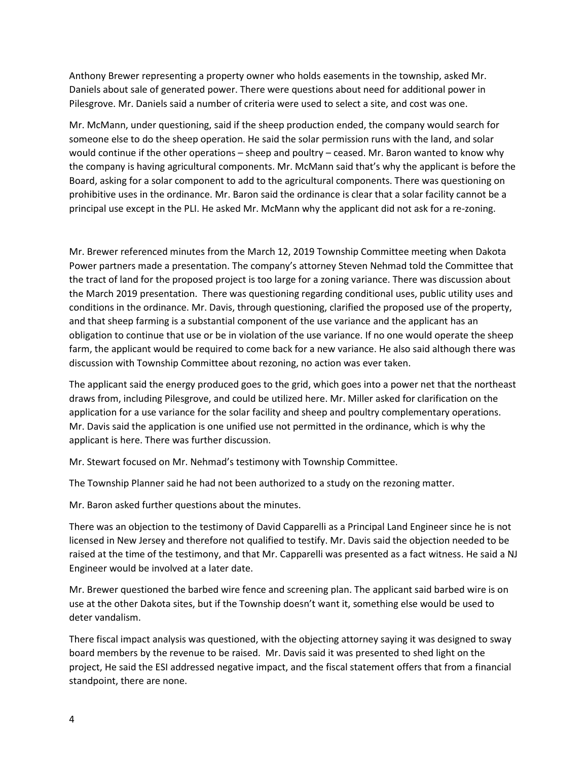Anthony Brewer representing a property owner who holds easements in the township, asked Mr. Daniels about sale of generated power. There were questions about need for additional power in Pilesgrove. Mr. Daniels said a number of criteria were used to select a site, and cost was one.

Mr. McMann, under questioning, said if the sheep production ended, the company would search for someone else to do the sheep operation. He said the solar permission runs with the land, and solar would continue if the other operations – sheep and poultry – ceased. Mr. Baron wanted to know why the company is having agricultural components. Mr. McMann said that's why the applicant is before the Board, asking for a solar component to add to the agricultural components. There was questioning on prohibitive uses in the ordinance. Mr. Baron said the ordinance is clear that a solar facility cannot be a principal use except in the PLI. He asked Mr. McMann why the applicant did not ask for a re-zoning.

Mr. Brewer referenced minutes from the March 12, 2019 Township Committee meeting when Dakota Power partners made a presentation. The company's attorney Steven Nehmad told the Committee that the tract of land for the proposed project is too large for a zoning variance. There was discussion about the March 2019 presentation. There was questioning regarding conditional uses, public utility uses and conditions in the ordinance. Mr. Davis, through questioning, clarified the proposed use of the property, and that sheep farming is a substantial component of the use variance and the applicant has an obligation to continue that use or be in violation of the use variance. If no one would operate the sheep farm, the applicant would be required to come back for a new variance. He also said although there was discussion with Township Committee about rezoning, no action was ever taken.

The applicant said the energy produced goes to the grid, which goes into a power net that the northeast draws from, including Pilesgrove, and could be utilized here. Mr. Miller asked for clarification on the application for a use variance for the solar facility and sheep and poultry complementary operations. Mr. Davis said the application is one unified use not permitted in the ordinance, which is why the applicant is here. There was further discussion.

Mr. Stewart focused on Mr. Nehmad's testimony with Township Committee.

The Township Planner said he had not been authorized to a study on the rezoning matter.

Mr. Baron asked further questions about the minutes.

There was an objection to the testimony of David Capparelli as a Principal Land Engineer since he is not licensed in New Jersey and therefore not qualified to testify. Mr. Davis said the objection needed to be raised at the time of the testimony, and that Mr. Capparelli was presented as a fact witness. He said a NJ Engineer would be involved at a later date.

Mr. Brewer questioned the barbed wire fence and screening plan. The applicant said barbed wire is on use at the other Dakota sites, but if the Township doesn't want it, something else would be used to deter vandalism.

There fiscal impact analysis was questioned, with the objecting attorney saying it was designed to sway board members by the revenue to be raised. Mr. Davis said it was presented to shed light on the project, He said the ESI addressed negative impact, and the fiscal statement offers that from a financial standpoint, there are none.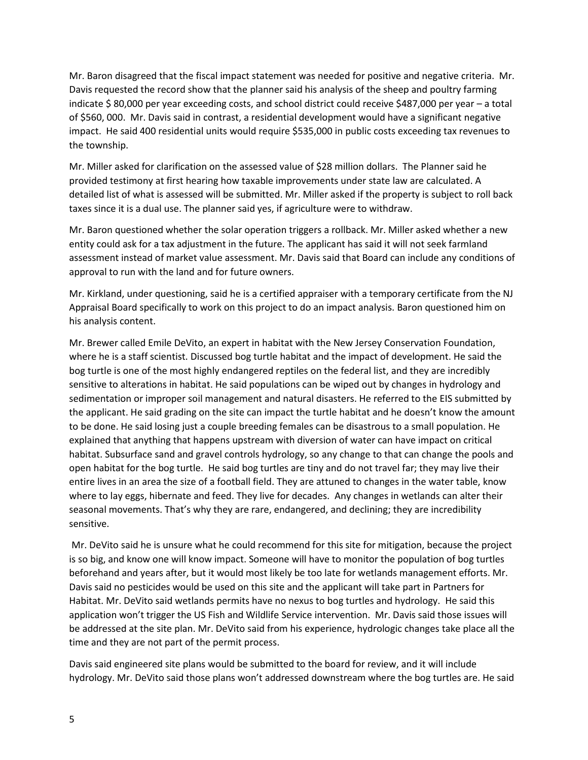Mr. Baron disagreed that the fiscal impact statement was needed for positive and negative criteria. Mr. Davis requested the record show that the planner said his analysis of the sheep and poultry farming indicate \$ 80,000 per year exceeding costs, and school district could receive \$487,000 per year – a total of \$560, 000. Mr. Davis said in contrast, a residential development would have a significant negative impact. He said 400 residential units would require \$535,000 in public costs exceeding tax revenues to the township.

Mr. Miller asked for clarification on the assessed value of \$28 million dollars. The Planner said he provided testimony at first hearing how taxable improvements under state law are calculated. A detailed list of what is assessed will be submitted. Mr. Miller asked if the property is subject to roll back taxes since it is a dual use. The planner said yes, if agriculture were to withdraw.

Mr. Baron questioned whether the solar operation triggers a rollback. Mr. Miller asked whether a new entity could ask for a tax adjustment in the future. The applicant has said it will not seek farmland assessment instead of market value assessment. Mr. Davis said that Board can include any conditions of approval to run with the land and for future owners.

Mr. Kirkland, under questioning, said he is a certified appraiser with a temporary certificate from the NJ Appraisal Board specifically to work on this project to do an impact analysis. Baron questioned him on his analysis content.

Mr. Brewer called Emile DeVito, an expert in habitat with the New Jersey Conservation Foundation, where he is a staff scientist. Discussed bog turtle habitat and the impact of development. He said the bog turtle is one of the most highly endangered reptiles on the federal list, and they are incredibly sensitive to alterations in habitat. He said populations can be wiped out by changes in hydrology and sedimentation or improper soil management and natural disasters. He referred to the EIS submitted by the applicant. He said grading on the site can impact the turtle habitat and he doesn't know the amount to be done. He said losing just a couple breeding females can be disastrous to a small population. He explained that anything that happens upstream with diversion of water can have impact on critical habitat. Subsurface sand and gravel controls hydrology, so any change to that can change the pools and open habitat for the bog turtle. He said bog turtles are tiny and do not travel far; they may live their entire lives in an area the size of a football field. They are attuned to changes in the water table, know where to lay eggs, hibernate and feed. They live for decades. Any changes in wetlands can alter their seasonal movements. That's why they are rare, endangered, and declining; they are incredibility sensitive.

Mr. DeVito said he is unsure what he could recommend for this site for mitigation, because the project is so big, and know one will know impact. Someone will have to monitor the population of bog turtles beforehand and years after, but it would most likely be too late for wetlands management efforts. Mr. Davis said no pesticides would be used on this site and the applicant will take part in Partners for Habitat. Mr. DeVito said wetlands permits have no nexus to bog turtles and hydrology. He said this application won't trigger the US Fish and Wildlife Service intervention. Mr. Davis said those issues will be addressed at the site plan. Mr. DeVito said from his experience, hydrologic changes take place all the time and they are not part of the permit process.

Davis said engineered site plans would be submitted to the board for review, and it will include hydrology. Mr. DeVito said those plans won't addressed downstream where the bog turtles are. He said